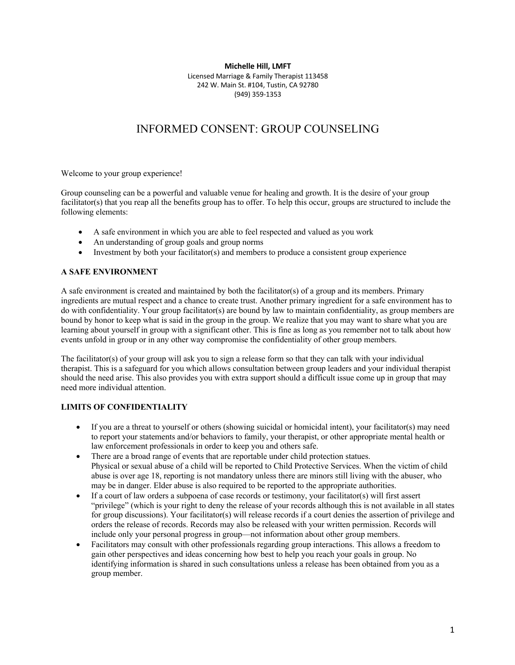#### **Michelle Hill, LMFT**

Licensed Marriage & Family Therapist 113458 242 W. Main St. #104, Tustin, CA 92780 (949) 359-1353

## INFORMED CONSENT: GROUP COUNSELING

Welcome to your group experience!

Group counseling can be a powerful and valuable venue for healing and growth. It is the desire of your group facilitator(s) that you reap all the benefits group has to offer. To help this occur, groups are structured to include the following elements:

- A safe environment in which you are able to feel respected and valued as you work
- An understanding of group goals and group norms
- Investment by both your facilitator(s) and members to produce a consistent group experience

### **A SAFE ENVIRONMENT**

A safe environment is created and maintained by both the facilitator(s) of a group and its members. Primary ingredients are mutual respect and a chance to create trust. Another primary ingredient for a safe environment has to do with confidentiality. Your group facilitator(s) are bound by law to maintain confidentiality, as group members are bound by honor to keep what is said in the group in the group. We realize that you may want to share what you are learning about yourself in group with a significant other. This is fine as long as you remember not to talk about how events unfold in group or in any other way compromise the confidentiality of other group members.

The facilitator(s) of your group will ask you to sign a release form so that they can talk with your individual therapist. This is a safeguard for you which allows consultation between group leaders and your individual therapist should the need arise. This also provides you with extra support should a difficult issue come up in group that may need more individual attention.

## **LIMITS OF CONFIDENTIALITY**

- If you are a threat to yourself or others (showing suicidal or homicidal intent), your facilitator(s) may need to report your statements and/or behaviors to family, your therapist, or other appropriate mental health or law enforcement professionals in order to keep you and others safe.
- There are a broad range of events that are reportable under child protection statues. Physical or sexual abuse of a child will be reported to Child Protective Services. When the victim of child abuse is over age 18, reporting is not mandatory unless there are minors still living with the abuser, who may be in danger. Elder abuse is also required to be reported to the appropriate authorities.
- If a court of law orders a subpoena of case records or testimony, your facilitator(s) will first assert "privilege" (which is your right to deny the release of your records although this is not available in all states for group discussions). Your facilitator(s) will release records if a court denies the assertion of privilege and orders the release of records. Records may also be released with your written permission. Records will include only your personal progress in group—not information about other group members.
- Facilitators may consult with other professionals regarding group interactions. This allows a freedom to gain other perspectives and ideas concerning how best to help you reach your goals in group. No identifying information is shared in such consultations unless a release has been obtained from you as a group member.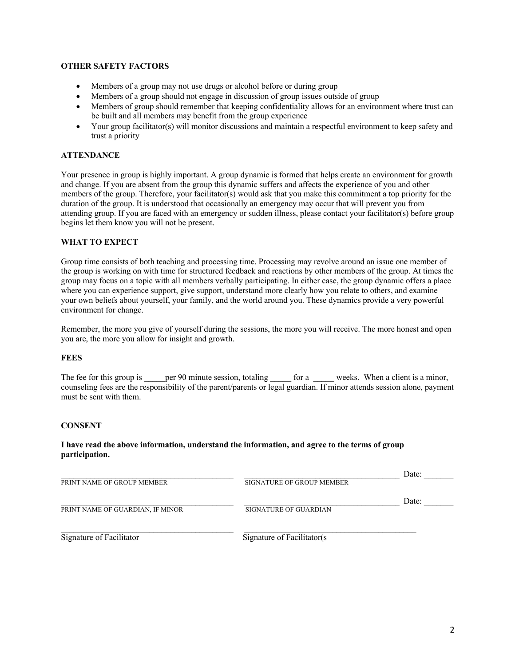### **OTHER SAFETY FACTORS**

- Members of a group may not use drugs or alcohol before or during group
- Members of a group should not engage in discussion of group issues outside of group
- Members of group should remember that keeping confidentiality allows for an environment where trust can be built and all members may benefit from the group experience
- Your group facilitator(s) will monitor discussions and maintain a respectful environment to keep safety and trust a priority

#### **ATTENDANCE**

Your presence in group is highly important. A group dynamic is formed that helps create an environment for growth and change. If you are absent from the group this dynamic suffers and affects the experience of you and other members of the group. Therefore, your facilitator(s) would ask that you make this commitment a top priority for the duration of the group. It is understood that occasionally an emergency may occur that will prevent you from attending group. If you are faced with an emergency or sudden illness, please contact your facilitator(s) before group begins let them know you will not be present.

### **WHAT TO EXPECT**

Group time consists of both teaching and processing time. Processing may revolve around an issue one member of the group is working on with time for structured feedback and reactions by other members of the group. At times the group may focus on a topic with all members verbally participating. In either case, the group dynamic offers a place where you can experience support, give support, understand more clearly how you relate to others, and examine your own beliefs about yourself, your family, and the world around you. These dynamics provide a very powerful environment for change.

Remember, the more you give of yourself during the sessions, the more you will receive. The more honest and open you are, the more you allow for insight and growth.

### **FEES**

The fee for this group is \_\_\_\_\_per 90 minute session, totaling \_\_\_\_\_\_ for a \_\_\_\_\_ weeks. When a client is a minor, counseling fees are the responsibility of the parent/parents or legal guardian. If minor attends session alone, payment must be sent with them.

### **CONSENT**

#### **I have read the above information, understand the information, and agree to the terms of group participation.**

| PRINT NAME OF GROUP MEMBER       | SIGNATURE OF GROUP MEMBER   | Date: |
|----------------------------------|-----------------------------|-------|
| PRINT NAME OF GUARDIAN, IF MINOR | SIGNATURE OF GUARDIAN       | Date: |
| Signature of Facilitator         | Signature of Facilitator(s) |       |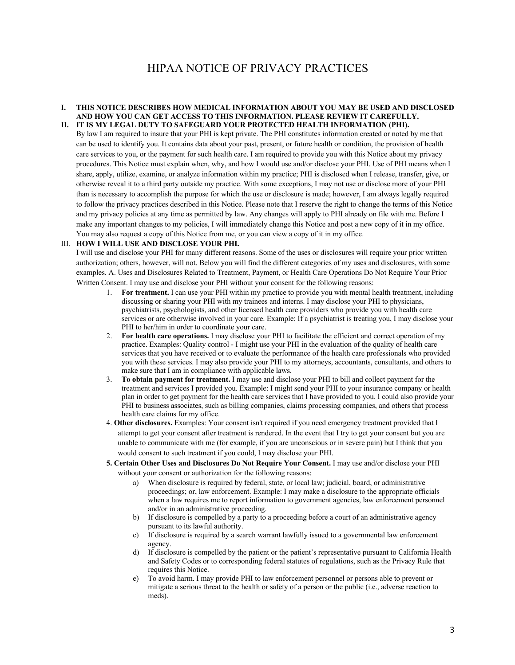## HIPAA NOTICE OF PRIVACY PRACTICES

#### **I. THIS NOTICE DESCRIBES HOW MEDICAL INFORMATION ABOUT YOU MAY BE USED AND DISCLOSED AND HOW YOU CAN GET ACCESS TO THIS INFORMATION. PLEASE REVIEW IT CAREFULLY. II. IT IS MY LEGAL DUTY TO SAFEGUARD YOUR PROTECTED HEALTH INFORMATION (PHI).**

By law I am required to insure that your PHI is kept private. The PHI constitutes information created or noted by me that can be used to identify you. It contains data about your past, present, or future health or condition, the provision of health care services to you, or the payment for such health care. I am required to provide you with this Notice about my privacy procedures. This Notice must explain when, why, and how I would use and/or disclose your PHI. Use of PHI means when I share, apply, utilize, examine, or analyze information within my practice; PHI is disclosed when I release, transfer, give, or otherwise reveal it to a third party outside my practice. With some exceptions, I may not use or disclose more of your PHI than is necessary to accomplish the purpose for which the use or disclosure is made; however, I am always legally required to follow the privacy practices described in this Notice. Please note that I reserve the right to change the terms of this Notice and my privacy policies at any time as permitted by law. Any changes will apply to PHI already on file with me. Before I make any important changes to my policies, I will immediately change this Notice and post a new copy of it in my office. You may also request a copy of this Notice from me, or you can view a copy of it in my office.

#### III. **HOW I WILL USE AND DISCLOSE YOUR PHI.**

I will use and disclose your PHI for many different reasons. Some of the uses or disclosures will require your prior written authorization; others, however, will not. Below you will find the different categories of my uses and disclosures, with some examples. A. Uses and Disclosures Related to Treatment, Payment, or Health Care Operations Do Not Require Your Prior Written Consent. I may use and disclose your PHI without your consent for the following reasons:

- 1. **For treatment.** I can use your PHI within my practice to provide you with mental health treatment, including discussing or sharing your PHI with my trainees and interns. I may disclose your PHI to physicians, psychiatrists, psychologists, and other licensed health care providers who provide you with health care services or are otherwise involved in your care. Example: If a psychiatrist is treating you, I may disclose your PHI to her/him in order to coordinate your care.
- 2. **For health care operations.** I may disclose your PHI to facilitate the efficient and correct operation of my practice. Examples: Quality control - I might use your PHI in the evaluation of the quality of health care services that you have received or to evaluate the performance of the health care professionals who provided you with these services. I may also provide your PHI to my attorneys, accountants, consultants, and others to make sure that I am in compliance with applicable laws.
- 3. **To obtain payment for treatment.** I may use and disclose your PHI to bill and collect payment for the treatment and services I provided you. Example: I might send your PHI to your insurance company or health plan in order to get payment for the health care services that I have provided to you. I could also provide your PHI to business associates, such as billing companies, claims processing companies, and others that process health care claims for my office.
- 4. **Other disclosures.** Examples: Your consent isn't required if you need emergency treatment provided that I attempt to get your consent after treatment is rendered. In the event that I try to get your consent but you are unable to communicate with me (for example, if you are unconscious or in severe pain) but I think that you would consent to such treatment if you could, I may disclose your PHI.
- **5. Certain Other Uses and Disclosures Do Not Require Your Consent.** I may use and/or disclose your PHI without your consent or authorization for the following reasons:
	- a) When disclosure is required by federal, state, or local law; judicial, board, or administrative proceedings; or, law enforcement. Example: I may make a disclosure to the appropriate officials when a law requires me to report information to government agencies, law enforcement personnel and/or in an administrative proceeding.
	- b) If disclosure is compelled by a party to a proceeding before a court of an administrative agency pursuant to its lawful authority.
	- c) If disclosure is required by a search warrant lawfully issued to a governmental law enforcement agency.
	- d) If disclosure is compelled by the patient or the patient's representative pursuant to California Health and Safety Codes or to corresponding federal statutes of regulations, such as the Privacy Rule that requires this Notice.
	- e) To avoid harm. I may provide PHI to law enforcement personnel or persons able to prevent or mitigate a serious threat to the health or safety of a person or the public (i.e., adverse reaction to meds).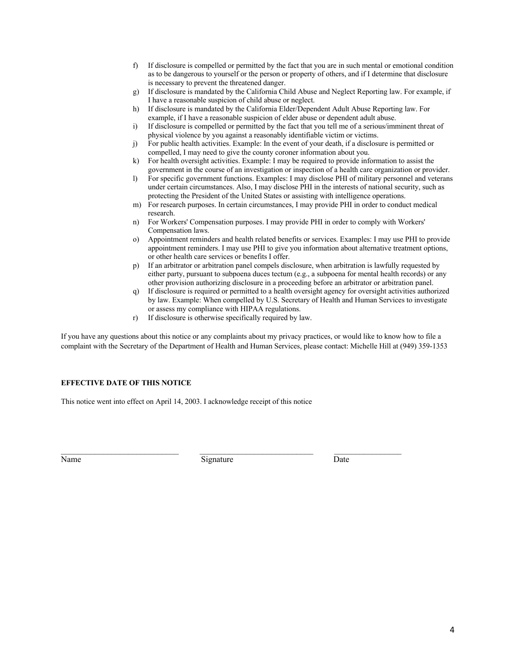- f) If disclosure is compelled or permitted by the fact that you are in such mental or emotional condition as to be dangerous to yourself or the person or property of others, and if I determine that disclosure is necessary to prevent the threatened danger.
- g) If disclosure is mandated by the California Child Abuse and Neglect Reporting law. For example, if I have a reasonable suspicion of child abuse or neglect.
- h) If disclosure is mandated by the California Elder/Dependent Adult Abuse Reporting law. For example, if I have a reasonable suspicion of elder abuse or dependent adult abuse.
- i) If disclosure is compelled or permitted by the fact that you tell me of a serious/imminent threat of physical violence by you against a reasonably identifiable victim or victims.
- j) For public health activities. Example: In the event of your death, if a disclosure is permitted or compelled, I may need to give the county coroner information about you.
- k) For health oversight activities. Example: I may be required to provide information to assist the government in the course of an investigation or inspection of a health care organization or provider.
- l) For specific government functions. Examples: I may disclose PHI of military personnel and veterans under certain circumstances. Also, I may disclose PHI in the interests of national security, such as protecting the President of the United States or assisting with intelligence operations.
- m) For research purposes. In certain circumstances, I may provide PHI in order to conduct medical research.
- n) For Workers' Compensation purposes. I may provide PHI in order to comply with Workers' Compensation laws.
- o) Appointment reminders and health related benefits or services. Examples: I may use PHI to provide appointment reminders. I may use PHI to give you information about alternative treatment options, or other health care services or benefits I offer.
- p) If an arbitrator or arbitration panel compels disclosure, when arbitration is lawfully requested by either party, pursuant to subpoena duces tectum (e.g., a subpoena for mental health records) or any other provision authorizing disclosure in a proceeding before an arbitrator or arbitration panel.
- q) If disclosure is required or permitted to a health oversight agency for oversight activities authorized by law. Example: When compelled by U.S. Secretary of Health and Human Services to investigate or assess my compliance with HIPAA regulations.
- r) If disclosure is otherwise specifically required by law.

If you have any questions about this notice or any complaints about my privacy practices, or would like to know how to file a complaint with the Secretary of the Department of Health and Human Services, please contact: Michelle Hill at (949) 359-1353

#### **EFFECTIVE DATE OF THIS NOTICE**

This notice went into effect on April 14, 2003. I acknowledge receipt of this notice

Name Date Signature Date Date